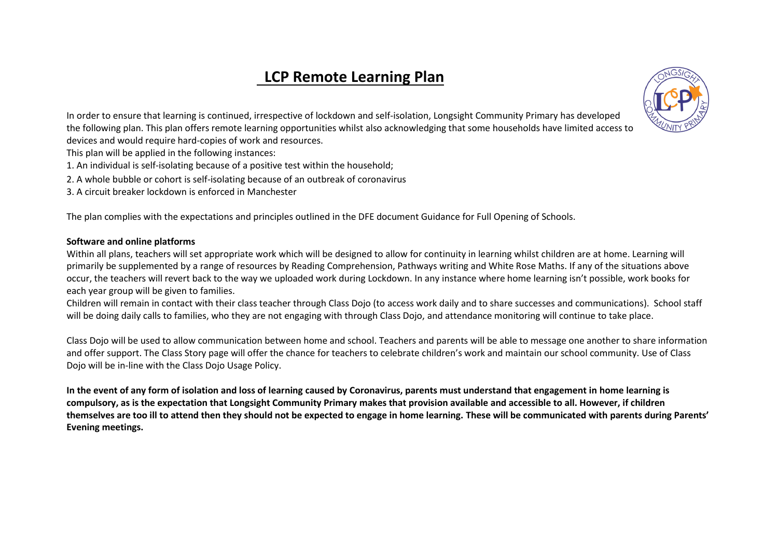# **LCP Remote Learning Plan**



In order to ensure that learning is continued, irrespective of lockdown and self-isolation, Longsight Community Primary has developed the following plan. This plan offers remote learning opportunities whilst also acknowledging that some households have limited access to devices and would require hard-copies of work and resources.

- This plan will be applied in the following instances:
- 1. An individual is self-isolating because of a positive test within the household;
- 2. A whole bubble or cohort is self-isolating because of an outbreak of coronavirus
- 3. A circuit breaker lockdown is enforced in Manchester

The plan complies with the expectations and principles outlined in the DFE document Guidance for Full Opening of Schools.

#### **Software and online platforms**

Within all plans, teachers will set appropriate work which will be designed to allow for continuity in learning whilst children are at home. Learning will primarily be supplemented by a range of resources by Reading Comprehension, Pathways writing and White Rose Maths. If any of the situations above occur, the teachers will revert back to the way we uploaded work during Lockdown. In any instance where home learning isn't possible, work books for each year group will be given to families.

Children will remain in contact with their class teacher through Class Dojo (to access work daily and to share successes and communications). School staff will be doing daily calls to families, who they are not engaging with through Class Dojo, and attendance monitoring will continue to take place.

Class Dojo will be used to allow communication between home and school. Teachers and parents will be able to message one another to share information and offer support. The Class Story page will offer the chance for teachers to celebrate children's work and maintain our school community. Use of Class Dojo will be in-line with the Class Dojo Usage Policy.

**In the event of any form of isolation and loss of learning caused by Coronavirus, parents must understand that engagement in home learning is compulsory, as is the expectation that Longsight Community Primary makes that provision available and accessible to all. However, if children themselves are too ill to attend then they should not be expected to engage in home learning. These will be communicated with parents during Parents' Evening meetings.**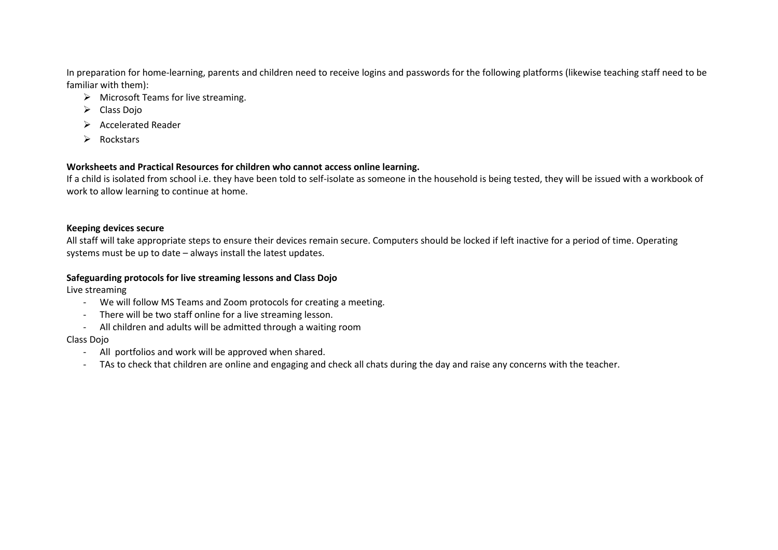In preparation for home-learning, parents and children need to receive logins and passwords for the following platforms (likewise teaching staff need to be familiar with them):

- $\triangleright$  Microsoft Teams for live streaming.
- $\triangleright$  Class Dojo
- $\triangleright$  Accelerated Reader
- $\triangleright$  Rockstars

### **Worksheets and Practical Resources for children who cannot access online learning.**

If a child is isolated from school i.e. they have been told to self-isolate as someone in the household is being tested, they will be issued with a workbook of work to allow learning to continue at home.

#### **Keeping devices secure**

All staff will take appropriate steps to ensure their devices remain secure. Computers should be locked if left inactive for a period of time. Operating systems must be up to date – always install the latest updates.

### **Safeguarding protocols for live streaming lessons and Class Dojo**

Live streaming

- We will follow MS Teams and Zoom protocols for creating a meeting.
- There will be two staff online for a live streaming lesson.
- All children and adults will be admitted through a waiting room

### Class Dojo

- All portfolios and work will be approved when shared.
- TAs to check that children are online and engaging and check all chats during the day and raise any concerns with the teacher.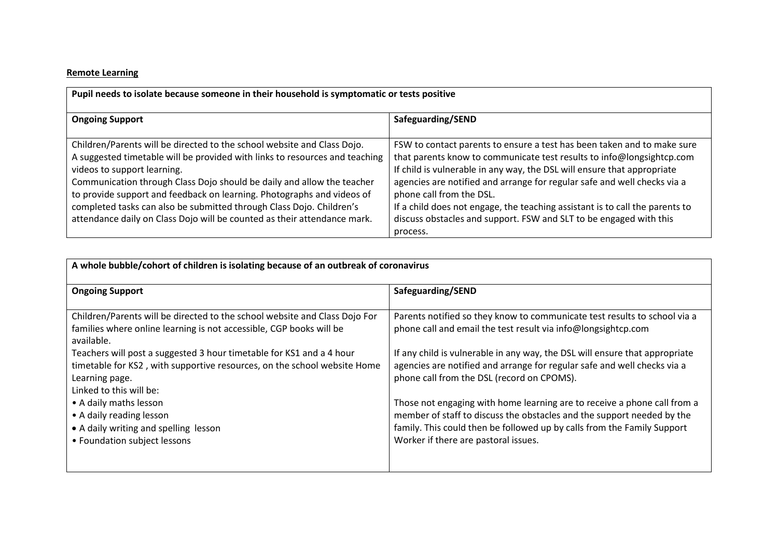## **Remote Learning**

| Pupil needs to isolate because someone in their household is symptomatic or tests positive                                                                                                                                                                                                                                                                                                                                                                                                    |                                                                                                                                                                                                                                                                                                                                                                                                                                                                                                       |  |
|-----------------------------------------------------------------------------------------------------------------------------------------------------------------------------------------------------------------------------------------------------------------------------------------------------------------------------------------------------------------------------------------------------------------------------------------------------------------------------------------------|-------------------------------------------------------------------------------------------------------------------------------------------------------------------------------------------------------------------------------------------------------------------------------------------------------------------------------------------------------------------------------------------------------------------------------------------------------------------------------------------------------|--|
| <b>Ongoing Support</b>                                                                                                                                                                                                                                                                                                                                                                                                                                                                        | Safeguarding/SEND                                                                                                                                                                                                                                                                                                                                                                                                                                                                                     |  |
| Children/Parents will be directed to the school website and Class Dojo.<br>A suggested timetable will be provided with links to resources and teaching<br>videos to support learning.<br>Communication through Class Dojo should be daily and allow the teacher<br>to provide support and feedback on learning. Photographs and videos of<br>completed tasks can also be submitted through Class Dojo. Children's<br>attendance daily on Class Dojo will be counted as their attendance mark. | FSW to contact parents to ensure a test has been taken and to make sure<br>that parents know to communicate test results to info@longsightcp.com<br>If child is vulnerable in any way, the DSL will ensure that appropriate<br>agencies are notified and arrange for regular safe and well checks via a<br>phone call from the DSL.<br>If a child does not engage, the teaching assistant is to call the parents to<br>discuss obstacles and support. FSW and SLT to be engaged with this<br>process. |  |

| A whole bubble/cohort of children is isolating because of an outbreak of coronavirus                                                                                                                                                    |                                                                                                                                                                                                                                                                       |  |
|-----------------------------------------------------------------------------------------------------------------------------------------------------------------------------------------------------------------------------------------|-----------------------------------------------------------------------------------------------------------------------------------------------------------------------------------------------------------------------------------------------------------------------|--|
| <b>Ongoing Support</b>                                                                                                                                                                                                                  | Safeguarding/SEND                                                                                                                                                                                                                                                     |  |
| Children/Parents will be directed to the school website and Class Dojo For<br>families where online learning is not accessible, CGP books will be<br>available.<br>Teachers will post a suggested 3 hour timetable for KS1 and a 4 hour | Parents notified so they know to communicate test results to school via a<br>phone call and email the test result via info@longsightcp.com<br>If any child is vulnerable in any way, the DSL will ensure that appropriate                                             |  |
| timetable for KS2, with supportive resources, on the school website Home<br>Learning page.<br>Linked to this will be:                                                                                                                   | agencies are notified and arrange for regular safe and well checks via a<br>phone call from the DSL (record on CPOMS).                                                                                                                                                |  |
| • A daily maths lesson<br>• A daily reading lesson<br>• A daily writing and spelling lesson<br>• Foundation subject lessons                                                                                                             | Those not engaging with home learning are to receive a phone call from a<br>member of staff to discuss the obstacles and the support needed by the<br>family. This could then be followed up by calls from the Family Support<br>Worker if there are pastoral issues. |  |